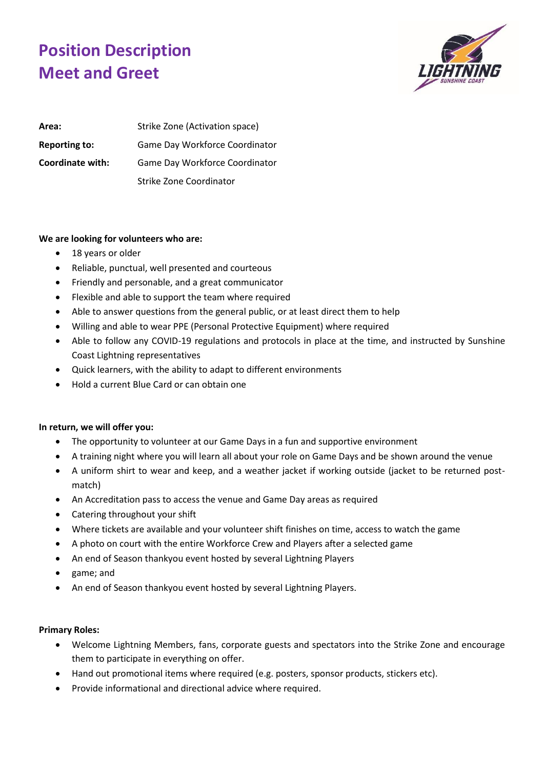## **Position Description Meet and Greet**



| Area:                | Strike Zone (Activation space) |
|----------------------|--------------------------------|
| <b>Reporting to:</b> | Game Day Workforce Coordinator |
| Coordinate with:     | Game Day Workforce Coordinator |
|                      | Strike Zone Coordinator        |

## **We are looking for volunteers who are:**

- 18 years or older
- Reliable, punctual, well presented and courteous
- Friendly and personable, and a great communicator
- Flexible and able to support the team where required
- Able to answer questions from the general public, or at least direct them to help
- Willing and able to wear PPE (Personal Protective Equipment) where required
- Able to follow any COVID-19 regulations and protocols in place at the time, and instructed by Sunshine Coast Lightning representatives
- Quick learners, with the ability to adapt to different environments
- Hold a current Blue Card or can obtain one

## **In return, we will offer you:**

- The opportunity to volunteer at our Game Days in a fun and supportive environment
- A training night where you will learn all about your role on Game Days and be shown around the venue
- A uniform shirt to wear and keep, and a weather jacket if working outside (jacket to be returned postmatch)
- An Accreditation pass to access the venue and Game Day areas as required
- Catering throughout your shift
- Where tickets are available and your volunteer shift finishes on time, access to watch the game
- A photo on court with the entire Workforce Crew and Players after a selected game
- An end of Season thankyou event hosted by several Lightning Players
- game; and
- An end of Season thankyou event hosted by several Lightning Players.

## **Primary Roles:**

- Welcome Lightning Members, fans, corporate guests and spectators into the Strike Zone and encourage them to participate in everything on offer.
- Hand out promotional items where required (e.g. posters, sponsor products, stickers etc).
- Provide informational and directional advice where required.